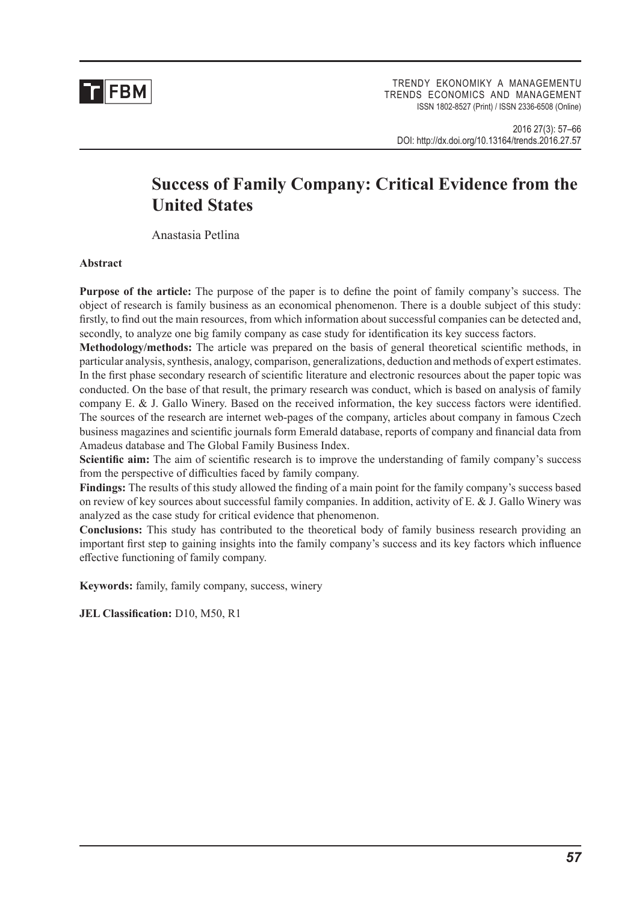

TRENDY EKONOMIKY A MANAGEMENTU TRENDS ECONOMICS AND MANAGEMENT ISSN 1802-8527 (Print) / ISSN 2336-6508 (Online)

2016 27(3): 57–66 DOI: http://dx.doi.org/10.13164/trends.2016.27.57

# **Success of Family Company: Critical Evidence from the United States**

Anastasia Petlina

#### **Abstract**

**Purpose of the article:** The purpose of the paper is to define the point of family company's success. The object of research is family business as an economical phenomenon. There is a double subject of this study: firstly, to find out the main resources, from which information about successful companies can be detected and, secondly, to analyze one big family company as case study for identification its key success factors.

**Methodology/methods:** The article was prepared on the basis of general theoretical scientific methods, in particular analysis, synthesis, analogy, comparison, generalizations, deduction and methods of expert estimates. In the first phase secondary research of scientific literature and electronic resources about the paper topic was conducted. On the base of that result, the primary research was conduct, which is based on analysis of family company E. & J. Gallo Winery. Based on the received information, the key success factors were identified. The sources of the research are internet web-pages of the company, articles about company in famous Czech business magazines and scientific journals form Emerald database, reports of company and financial data from Amadeus database and The Global Family Business Index.

**Scientific aim:** The aim of scientific research is to improve the understanding of family company's success from the perspective of difficulties faced by family company.

**Findings:** The results of this study allowed the finding of a main point for the family company's success based on review of key sources about successful family companies. In addition, activity of E. & J. Gallo Winery was analyzed as the case study for critical evidence that phenomenon.

**Conclusions:** This study has contributed to the theoretical body of family business research providing an important first step to gaining insights into the family company's success and its key factors which influence effective functioning of family company.

**Keywords:** family, family company, success, winery

**JEL Classification:** D10, M50, R1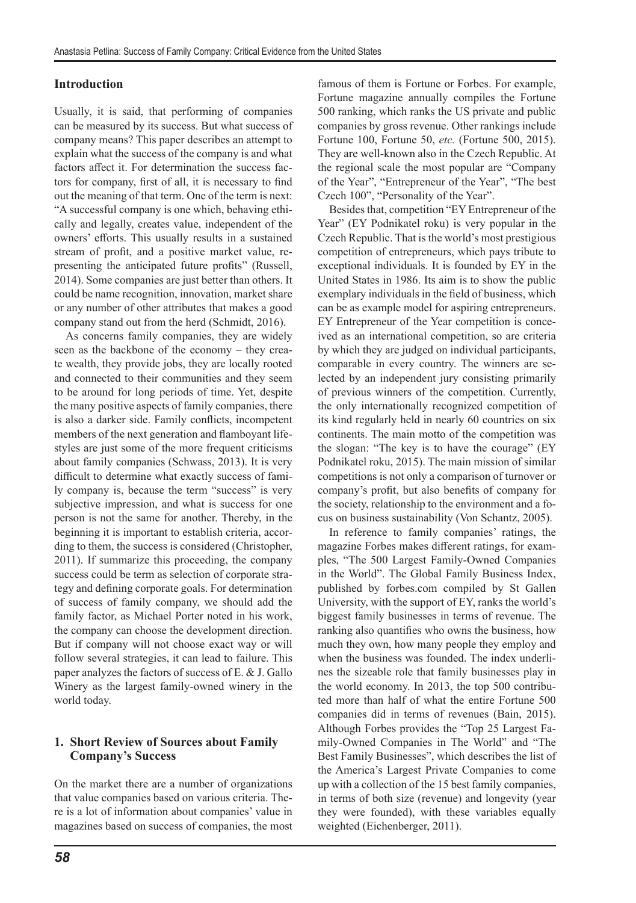#### **Introduction**

Usually, it is said, that performing of companies can be measured by its success. But what success of company means? This paper describes an attempt to explain what the success of the company is and what factors affect it. For determination the success factors for company, first of all, it is necessary to find out the meaning of that term. One of the term is next: "A successful company is one which, behaving ethically and legally, creates value, independent of the owners' efforts. This usually results in a sustained stream of profit, and a positive market value, representing the anticipated future profits" (Russell, 2014). Some companies are just better than others. It could be name recognition, innovation, market share or any number of other attributes that makes a good company stand out from the herd (Schmidt, 2016).

As concerns family companies, they are widely seen as the backbone of the economy – they create wealth, they provide jobs, they are locally rooted and connected to their communities and they seem to be around for long periods of time. Yet, despite the many positive aspects of family companies, there is also a darker side. Family conflicts, incompetent members of the next generation and flamboyant lifestyles are just some of the more frequent criticisms about family companies (Schwass, 2013). It is very difficult to determine what exactly success of family company is, because the term "success" is very subjective impression, and what is success for one person is not the same for another. Thereby, in the beginning it is important to establish criteria, according to them, the success is considered (Christopher, 2011). If summarize this proceeding, the company success could be term as selection of corporate strategy and defining corporate goals. For determination of success of family company, we should add the family factor, as Michael Porter noted in his work, the company can choose the development direction. But if company will not choose exact way or will follow several strategies, it can lead to failure. This paper analyzes the factors of success of E. & J. Gallo Winery as the largest family-owned winery in the world today.

## **1. Short Review of Sources about Family Company's Success**

On the market there are a number of organizations that value companies based on various criteria. There is a lot of information about companies' value in magazines based on success of companies, the most famous of them is Fortune or Forbes. For example, Fortune magazine annually compiles the Fortune 500 ranking, which ranks the US private and public companies by gross revenue. Other rankings include Fortune 100, Fortune 50, *etc.* (Fortune 500, 2015). They are well-known also in the Czech Republic. At the regional scale the most popular are "Company of the Year", "Entrepreneur of the Year", "The best Czech 100", "Personality of the Year".

Besides that, competition "EY Entrepreneur of the Year" (EY Podnikatel roku) is very popular in the Czech Republic. That is the world's most prestigious competition of entrepreneurs, which pays tribute to exceptional individuals. It is founded by EY in the United States in 1986. Its aim is to show the public exemplary individuals in the field of business, which can be as example model for aspiring entrepreneurs. EY Entrepreneur of the Year competition is conceived as an international competition, so are criteria by which they are judged on individual participants, comparable in every country. The winners are selected by an independent jury consisting primarily of previous winners of the competition. Currently, the only internationally recognized competition of its kind regularly held in nearly 60 countries on six continents. The main motto of the competition was the slogan: "The key is to have the courage" (EY Podnikatel roku, 2015). The main mission of similar competitions is not only a comparison of turnover or company's profit, but also benefits of company for the society, relationship to the environment and a focus on business sustainability (Von Schantz, 2005).

In reference to family companies' ratings, the magazine Forbes makes different ratings, for examples, "The 500 Largest Family-Owned Companies in the World". The Global Family Business Index, published by forbes.com compiled by St Gallen University, with the support of EY, ranks the world's biggest family businesses in terms of revenue. The ranking also quantifies who owns the business, how much they own, how many people they employ and when the business was founded. The index underlines the sizeable role that family businesses play in the world economy. In 2013, the top 500 contributed more than half of what the entire Fortune 500 companies did in terms of revenues (Bain, 2015). Although Forbes provides the "Top 25 Largest Family-Owned Companies in The World" and "The Best Family Businesses", which describes the list of the America's Largest Private Companies to come up with a collection of the 15 best family companies, in terms of both size (revenue) and longevity (year they were founded), with these variables equally weighted (Eichenberger, 2011).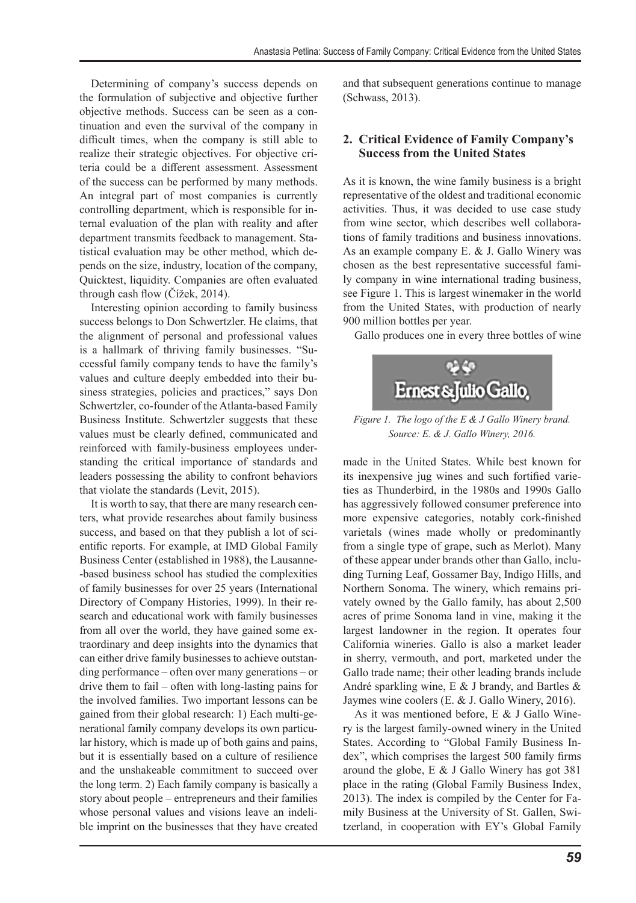Determining of company's success depends on the formulation of subjective and objective further objective methods. Success can be seen as a continuation and even the survival of the company in difficult times, when the company is still able to realize their strategic objectives. For objective criteria could be a different assessment. Assessment of the success can be performed by many methods. An integral part of most companies is currently controlling department, which is responsible for internal evaluation of the plan with reality and after department transmits feedback to management. Statistical evaluation may be other method, which depends on the size, industry, location of the company, Quicktest, liquidity. Companies are often evaluated through cash flow (Čížek, 2014).

Interesting opinion according to family business success belongs to Don Schwertzler. He claims, that the alignment of personal and professional values is a hallmark of thriving family businesses. "Successful family company tends to have the family's values and culture deeply embedded into their business strategies, policies and practices," says Don Schwertzler, co-founder of the Atlanta-based Family Business Institute. Schwertzler suggests that these values must be clearly defined, communicated and reinforced with family-business employees understanding the critical importance of standards and leaders possessing the ability to confront behaviors that violate the standards (Levit, 2015).

It is worth to say, that there are many research centers, what provide researches about family business success, and based on that they publish a lot of scientific reports. For example, at IMD Global Family Business Center (established in 1988), the Lausanne- -based business school has studied the complexities of family businesses for over 25 years (International Directory of Company Histories, 1999). In their research and educational work with family businesses from all over the world, they have gained some extraordinary and deep insights into the dynamics that can either drive family businesses to achieve outstanding performance – often over many generations – or drive them to fail – often with long-lasting pains for the involved families. Two important lessons can be gained from their global research: 1) Each multi-generational family company develops its own particular history, which is made up of both gains and pains, but it is essentially based on a culture of resilience and the unshakeable commitment to succeed over the long term. 2) Each family company is basically a story about people – entrepreneurs and their families whose personal values and visions leave an indelible imprint on the businesses that they have created and that subsequent generations continue to manage (Schwass, 2013).

## **2. Critical Evidence of Family Company's Success from the United States**

As it is known, the wine family business is a bright representative of the oldest and traditional economic activities. Thus, it was decided to use case study from wine sector, which describes well collaborations of family traditions and business innovations. As an example company E. & J. Gallo Winery was chosen as the best representative successful family company in wine international trading business, see Figure 1. This is largest winemaker in the world from the United States, with production of nearly 900 million bottles per year.

Gallo produces one in every three bottles of wine



*Figure 1. The logo of the E & J Gallo Winery brand. Source: E. & J. Gallo Winery, 2016.*

made in the United States. While best known for its inexpensive jug wines and such fortified varieties as Thunderbird, in the 1980s and 1990s Gallo has aggressively followed consumer preference into more expensive categories, notably cork-finished varietals (wines made wholly or predominantly from a single type of grape, such as Merlot). Many of these appear under brands other than Gallo, including Turning Leaf, Gossamer Bay, Indigo Hills, and Northern Sonoma. The winery, which remains privately owned by the Gallo family, has about 2,500 acres of prime Sonoma land in vine, making it the largest landowner in the region. It operates four California wineries. Gallo is also a market leader in sherry, vermouth, and port, marketed under the Gallo trade name; their other leading brands include André sparkling wine, E & J brandy, and Bartles & Jaymes wine coolers (E. & J. Gallo Winery, 2016).

As it was mentioned before, E & J Gallo Winery is the largest family-owned winery in the United States. According to "Global Family Business Index", which comprises the largest 500 family firms around the globe, E & J Gallo Winery has got 381 place in the rating (Global Family Business Index, 2013). The index is compiled by the Center for Family Business at the University of St. Gallen, Switzerland, in cooperation with EY's Global Family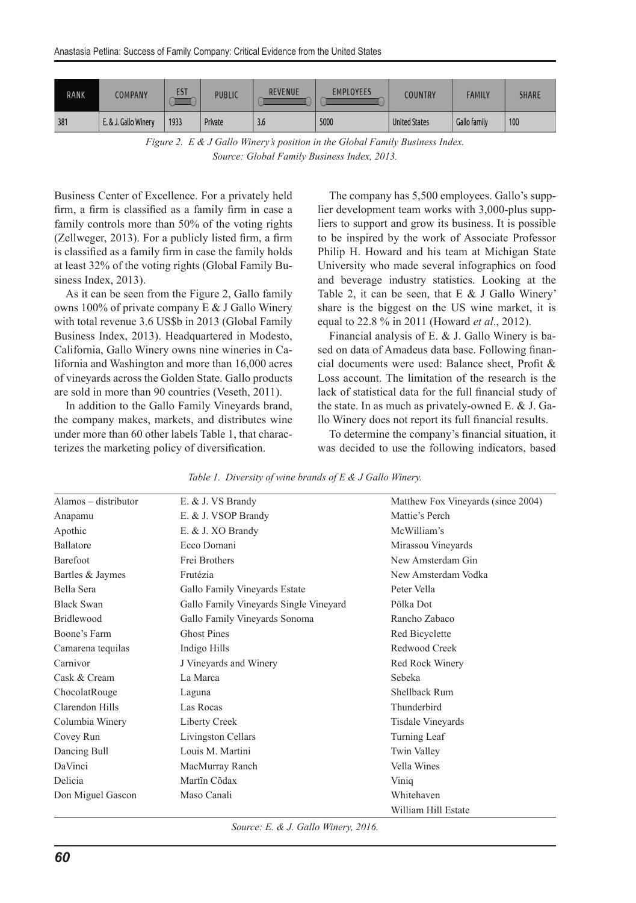| RANK | COMPANY              | <b>EST</b> | <b>PUBLIC</b> | <b>REVENUE</b> | <b>EMPLOYEES</b> | COUNTRY              | <b>FAMILY</b> | <b>SHARE</b> |
|------|----------------------|------------|---------------|----------------|------------------|----------------------|---------------|--------------|
| 381  | E. & J. Gallo Winery | 1933       | Private       | 3.0            | 5000             | <b>United States</b> | Gallo family  | 100          |

*Figure 2. E & J Gallo Winery's position in the Global Family Business Index. Source: Global Family Business Index, 2013.*

Business Center of Excellence. For a privately held firm, a firm is classified as a family firm in case a family controls more than 50% of the voting rights (Zellweger, 2013). For a publicly listed firm, a firm is classified as a family firm in case the family holds at least 32% of the voting rights (Global Family Business Index, 2013).

As it can be seen from the Figure 2, Gallo family owns 100% of private company E & J Gallo Winery with total revenue 3.6 US\$b in 2013 (Global Family Business Index, 2013). Headquartered in Modesto, California, Gallo Winery owns nine wineries in California and Washington and more than 16,000 acres of vineyards across the Golden State. Gallo products are sold in more than 90 countries (Veseth, 2011).

In addition to the Gallo Family Vineyards brand, the company makes, markets, and distributes wine under more than 60 other labels Table 1, that characterizes the marketing policy of diversification.

The company has 5,500 employees. Gallo's supplier development team works with 3,000-plus suppliers to support and grow its business. It is possible to be inspired by the work of Associate Professor Philip H. Howard and his team at Michigan State University who made several infographics on food and beverage industry statistics. Looking at the Table 2, it can be seen, that  $E \& J$  Gallo Winery' share is the biggest on the US wine market, it is equal to 22.8 % in 2011 (Howard *et al*., 2012).

Financial analysis of E. & J. Gallo Winery is based on data of Amadeus data base. Following financial documents were used: Balance sheet, Profit & Loss account. The limitation of the research is the lack of statistical data for the full financial study of the state. In as much as privately-owned E. & J. Gallo Winery does not report its full financial results.

To determine the company's financial situation, it was decided to use the following indicators, based

| $Alamos - distributor$ | E. & J. VS Brandy                      | Matthew Fox Vineyards (since 2004) |
|------------------------|----------------------------------------|------------------------------------|
| Anapamu                | E. & J. VSOP Brandy                    | Mattie's Perch                     |
| Apothic                | E. & J. XO Brandy                      | McWilliam's                        |
| <b>Ballatore</b>       | Ecco Domani                            | Mirassou Vineyards                 |
| <b>Barefoot</b>        | Frei Brothers                          | New Amsterdam Gin                  |
| Bartles & Jaymes       | Frutézia                               | New Amsterdam Vodka                |
| Bella Sera             | Gallo Family Vineyards Estate          | Peter Vella                        |
| <b>Black Swan</b>      | Gallo Family Vineyards Single Vineyard | Pölka Dot                          |
| <b>Bridlewood</b>      | Gallo Family Vineyards Sonoma          | Rancho Zabaco                      |
| Boone's Farm           | <b>Ghost Pines</b>                     | Red Bicyclette                     |
| Camarena tequilas      | Indigo Hills                           | Redwood Creek                      |
| Carnivor               | J Vineyards and Winery                 | Red Rock Winery                    |
| Cask & Cream           | La Marca                               | Sebeka                             |
| ChocolatRouge          | Laguna                                 | Shellback Rum                      |
| Clarendon Hills        | Las Rocas                              | Thunderbird                        |
| Columbia Winery        | Liberty Creek                          | Tisdale Vineyards                  |
| Covey Run              | Livingston Cellars                     | Turning Leaf                       |
| Dancing Bull           | Louis M. Martini                       | Twin Valley                        |
| DaVinci                | MacMurray Ranch                        | Vella Wines                        |
| Delicia                | Martin Cõdax                           | Viniq                              |
| Don Miguel Gascon      | Maso Canali                            | Whitehaven                         |
|                        |                                        | William Hill Estate                |

*Table 1. Diversity of wine brands of E & J Gallo Winery.*

*Source: E. & J. Gallo Winery, 2016.*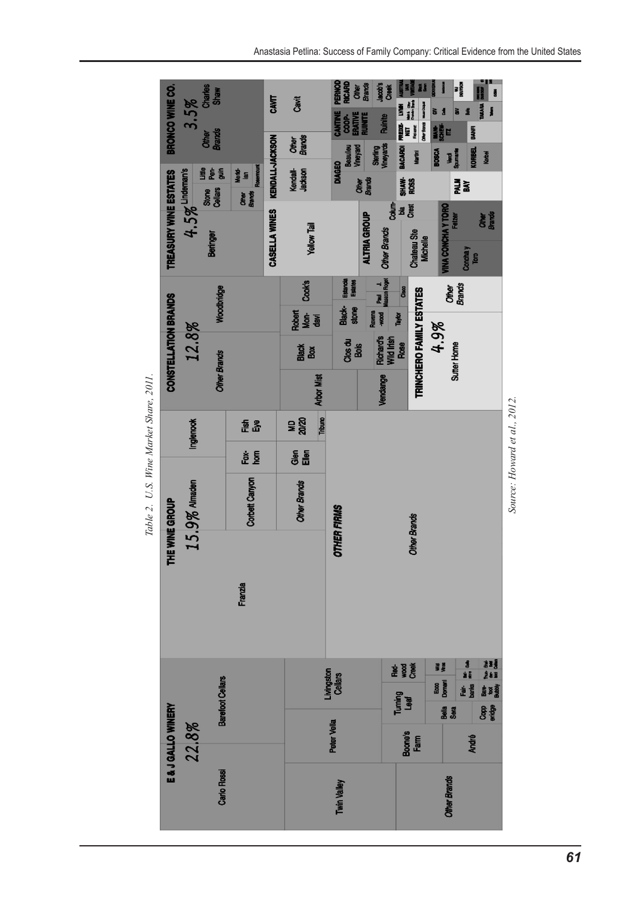| BRONCO WINE CO.                            | $3.5\%$<br><b>Other</b><br>Brands |                           | CAVIT           | Cavit<br>Other<br>Brands | <b>PERNOD</b><br>RICARD<br>COOP-<br>ERATIVE<br>RUINITE<br><b>CANTINE</b><br><b>Beaulieu</b> | <b>Other</b><br>Brands<br>Jacob's<br>Sterfing<br>Vineyards<br>Aneyard | Creek<br><b>REDGE- LYMN</b><br>NET set on<br><b>Ruinite</b><br><b>BACARDI</b> | 精神<br>Mer Bank was copy<br>Reisenst<br>Martini | 精製品<br><b>BOSCA</b>       | w<br>Maria<br><b>Verd</b><br>Spimark | ä<br><b>WARA</b><br>j<br>BANR<br><b>CORBEL</b><br>Korbel |
|--------------------------------------------|-----------------------------------|---------------------------|-----------------|--------------------------|---------------------------------------------------------------------------------------------|-----------------------------------------------------------------------|-------------------------------------------------------------------------------|------------------------------------------------|---------------------------|--------------------------------------|----------------------------------------------------------|
|                                            | <u>ge s</u><br>Stone<br>Cellars   | Merkt<br>Ian<br>Rosemount | KENDALL-JACKSON | Kendall-<br>Jackson      | <b>DIAGEO</b>                                                                               | Other<br>Brands                                                       |                                                                               | SHAW-<br>ROSS                                  |                           | 큹홂                                   |                                                          |
| $4.5%$ Lindeman's<br>TREASURY WINE ESTATES | Beringer                          | <b>Other</b><br>Brands    | CASELLA WINES   | Yellow Tail              |                                                                                             | <b>ALTRIA GROUP</b>                                                   | <b>Colum-</b><br><b>Bay</b><br><b>Other Brands</b>                            | Chateau Ste<br>Michelle                        | <b>TINA CONCHA Y TORO</b> | Felzer<br><b>Conchay</b>             | <b>Chiner</b><br>Brands<br>Tom                           |
|                                            | Woodbridge                        |                           |                 | Cook's                   | Estancia                                                                                    | Revens<br>- wood Read J.<br>- Masson Rogel                            | Cisco                                                                         |                                                |                           | Other<br>Brands                      |                                                          |
|                                            |                                   |                           |                 | Robert<br>Mon-<br>davi   | Black-<br>stone                                                                             |                                                                       | Taylor                                                                        |                                                | 4.9%                      |                                      |                                                          |
| CONSTELLATION BRANDS<br>12.8%              |                                   |                           |                 | Black<br>Box             | Clos du                                                                                     | Bois                                                                  | Richard's<br>Wild Irish<br>Rose                                               | TRINCHERO FAMILY ESTATES                       |                           | Sutter Home                          |                                                          |
|                                            | <b>Other Brands</b>               |                           |                 | <b>Arbor Mist</b>        |                                                                                             |                                                                       | Vendange                                                                      |                                                |                           |                                      |                                                          |
| Inglenook                                  |                                   | 준공                        |                 | Tribuno<br>ទី<br>គី      |                                                                                             |                                                                       |                                                                               |                                                |                           |                                      |                                                          |
|                                            |                                   | è §                       |                 | å<br>Si                  |                                                                                             |                                                                       |                                                                               |                                                |                           |                                      |                                                          |
| 15.9% Almaden                              |                                   | Corbett Canyon            |                 | <b>Other Brands</b>      |                                                                                             |                                                                       |                                                                               |                                                |                           |                                      |                                                          |
| THE WINE GROUP                             |                                   | Franzia                   |                 |                          | <b>OTHER FIRMS</b>                                                                          |                                                                       |                                                                               | <b>Other Brands</b>                            |                           |                                      |                                                          |
|                                            |                                   |                           |                 |                          |                                                                                             |                                                                       | <b>Read</b><br>Read<br>Creat                                                  |                                                | WHE                       |                                      | <b>ままる</b><br>きまる                                        |
|                                            | Barefoot Cellars                  |                           |                 |                          | Livingston<br>Cellars                                                                       |                                                                       | Turning<br>Leaf                                                               |                                                | Ecco<br>Domani            | ie is                                | Base<br>Babbiy                                           |
| E & J GALLO WINERY<br>22.8%                |                                   |                           |                 |                          | Peter Vella                                                                                 |                                                                       |                                                                               | Boone's<br>Farm                                | Bela<br>Sera              |                                      | Copp<br>eridge<br><b>André</b>                           |
|                                            |                                   |                           |                 |                          |                                                                                             |                                                                       |                                                                               |                                                |                           |                                      |                                                          |
|                                            | <b>Carlo Rossi</b>                |                           |                 |                          | Twin Valley                                                                                 |                                                                       |                                                                               |                                                | <b>Other Brands</b>       |                                      |                                                          |

Table 2. U.S. Wine Market Share, 2011. *Table 2. U.S. Wine Market Share, 2011.*

*Source: Howard et al., 2012.*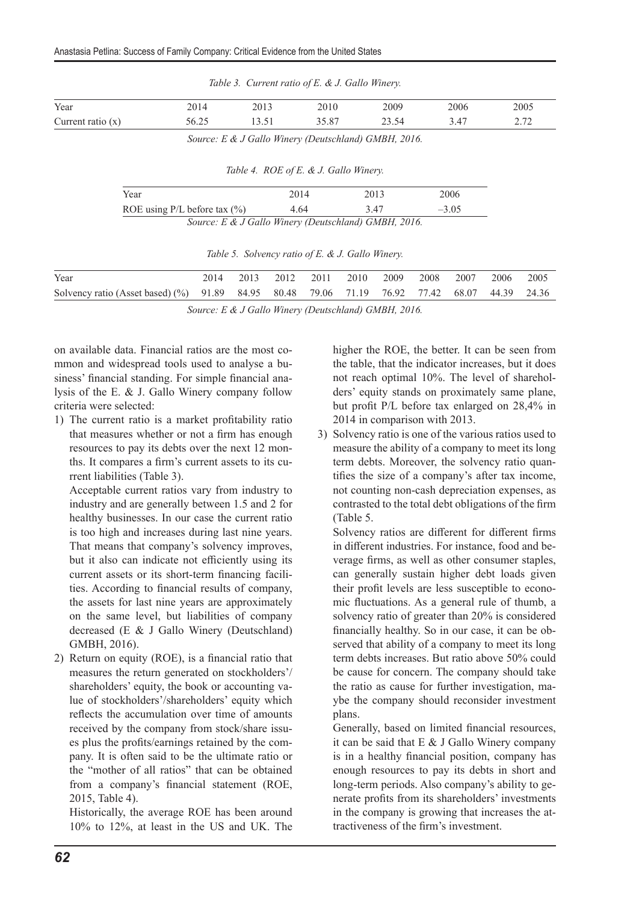| Table 3. Current ratio of E. & J. Gallo Winery. |       |       |                                                           |       |      |      |  |
|-------------------------------------------------|-------|-------|-----------------------------------------------------------|-------|------|------|--|
| Year                                            | 2014  | 2013  | 2010                                                      | 2009  | 2006 | 2005 |  |
| Current ratio $(x)$                             | 56.25 | 13.51 | 35.87                                                     | 23.54 | 3.47 | 2.72 |  |
|                                                 |       |       | $Source \cdot$ F & I Gallo Winery (Deutschland) GMRH 2016 |       |      |      |  |

*Source: E & J Gallo Winery (Deutschland) GMBH, 2016.*

|  | Table 4. ROE of E. & J. Gallo Winery. |  |  |
|--|---------------------------------------|--|--|
|--|---------------------------------------|--|--|

| Year                              | 2014 | 2013                                                 | 2006    |  |
|-----------------------------------|------|------------------------------------------------------|---------|--|
|                                   |      |                                                      |         |  |
| ROE using $P/L$ before tax $(\%)$ | 4.64 | 347                                                  | $-3.05$ |  |
|                                   |      | Source: E & J Gallo Winery (Deutschland) GMBH, 2016. |         |  |

| Table 5. Solvency ratio of E. & J. Gallo Winery. |  |  |  |
|--------------------------------------------------|--|--|--|
|                                                  |  |  |  |

| Year                                                                                         |  | 2013 2012 2011 2010 2009 2008 2007 2006 |  |  | 2005 |
|----------------------------------------------------------------------------------------------|--|-----------------------------------------|--|--|------|
| Solvency ratio (Asset based) (%) 91.89 84.95 80.48 79.06 71.19 76.92 77.42 68.07 44.39 24.36 |  |                                         |  |  |      |

*Source: E & J Gallo Winery (Deutschland) GMBH, 2016.*

on available data. Financial ratios are the most common and widespread tools used to analyse a business' financial standing. For simple financial analysis of the E. & J. Gallo Winery company follow criteria were selected:

1) The current ratio is a market profitability ratio that measures whether or not a firm has enough resources to pay its debts over the next 12 months. It compares a firm's current assets to its current liabilities (Table 3).

Acceptable current ratios vary from industry to industry and are generally between 1.5 and 2 for healthy businesses. In our case the current ratio is too high and increases during last nine years. That means that company's solvency improves, but it also can indicate not efficiently using its current assets or its short-term financing facilities. According to financial results of company, the assets for last nine years are approximately on the same level, but liabilities of company decreased (E & J Gallo Winery (Deutschland) GMBH, 2016).

2) Return on equity (ROE), is a financial ratio that measures the return generated on stockholders'/ shareholders' equity, the book or accounting value of stockholders'/shareholders' equity which reflects the accumulation over time of amounts received by the company from stock/share issues plus the profits/earnings retained by the company. It is often said to be the ultimate ratio or the "mother of all ratios" that can be obtained from a company's financial statement (ROE, 2015, Table 4).

Historically, the average ROE has been around 10% to 12%, at least in the US and UK. The higher the ROE, the better. It can be seen from the table, that the indicator increases, but it does not reach optimal 10%. The level of shareholders' equity stands on proximately same plane, but profit P/L before tax enlarged on 28,4% in 2014 in comparison with 2013.

3) Solvency ratio is one of the various ratios used to measure the ability of a company to meet its long term debts. Moreover, the solvency ratio quantifies the size of a company's after tax income, not counting non-cash depreciation expenses, as contrasted to the total debt obligations of the firm (Table 5.

Solvency ratios are different for different firms in different industries. For instance, food and beverage firms, as well as other consumer staples, can generally sustain higher debt loads given their profit levels are less susceptible to economic fluctuations. As a general rule of thumb, a solvency ratio of greater than 20% is considered financially healthy. So in our case, it can be observed that ability of a company to meet its long term debts increases. But ratio above 50% could be cause for concern. The company should take the ratio as cause for further investigation, maybe the company should reconsider investment plans.

Generally, based on limited financial resources, it can be said that E & J Gallo Winery company is in a healthy financial position, company has enough resources to pay its debts in short and long-term periods. Also company's ability to generate profits from its shareholders' investments in the company is growing that increases the attractiveness of the firm's investment.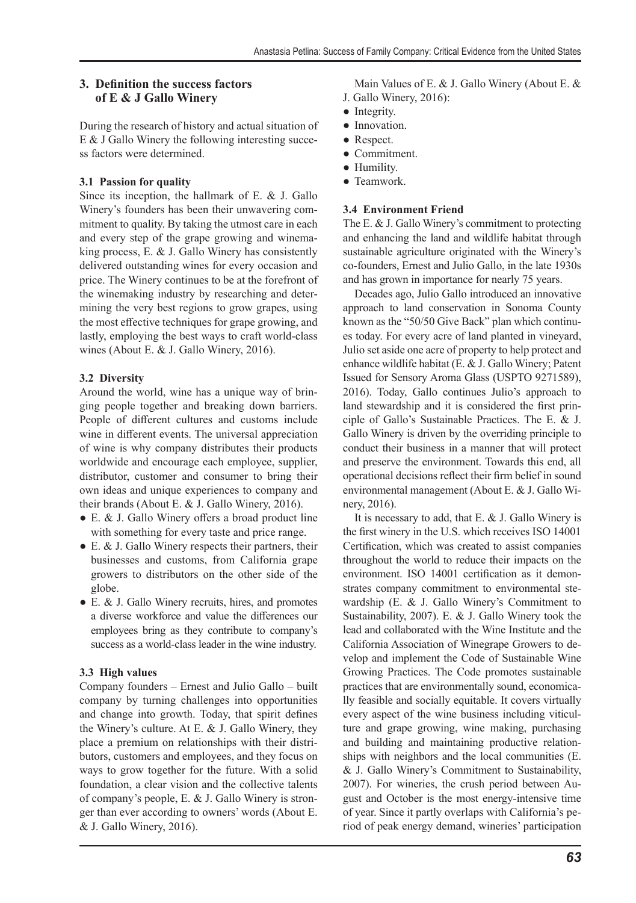## **3. Definition the success factors of E & J Gallo Winery**

During the research of history and actual situation of E & J Gallo Winery the following interesting success factors were determined.

## **3.1 Passion for quality**

Since its inception, the hallmark of E. & J. Gallo Winery's founders has been their unwavering commitment to quality. By taking the utmost care in each and every step of the grape growing and winemaking process, E. & J. Gallo Winery has consistently delivered outstanding wines for every occasion and price. The Winery continues to be at the forefront of the winemaking industry by researching and determining the very best regions to grow grapes, using the most effective techniques for grape growing, and lastly, employing the best ways to craft world-class wines (About E. & J. Gallo Winery, 2016).

## **3.2 Diversity**

Around the world, wine has a unique way of bringing people together and breaking down barriers. People of different cultures and customs include wine in different events. The universal appreciation of wine is why company distributes their products worldwide and encourage each employee, supplier, distributor, customer and consumer to bring their own ideas and unique experiences to company and their brands (About E. & J. Gallo Winery, 2016).

- E. & J. Gallo Winery offers a broad product line with something for every taste and price range.
- E. & J. Gallo Winery respects their partners, their businesses and customs, from California grape growers to distributors on the other side of the globe.
- E. & J. Gallo Winery recruits, hires, and promotes a diverse workforce and value the differences our employees bring as they contribute to company's success as a world-class leader in the wine industry.

# **3.3 High values**

Company founders – Ernest and Julio Gallo – built company by turning challenges into opportunities and change into growth. Today, that spirit defines the Winery's culture. At E. & J. Gallo Winery, they place a premium on relationships with their distributors, customers and employees, and they focus on ways to grow together for the future. With a solid foundation, a clear vision and the collective talents of company's people, E. & J. Gallo Winery is stronger than ever according to owners' words (About E. & J. Gallo Winery, 2016).

Main Values of E. & J. Gallo Winery (About E. & J. Gallo Winery, 2016):

- Integrity.
- Innovation.
- Respect.
- Commitment.
- Humility.
- Teamwork.

## **3.4 Environment Friend**

The E. & J. Gallo Winery's commitment to protecting and enhancing the land and wildlife habitat through sustainable agriculture originated with the Winery's co-founders, Ernest and Julio Gallo, in the late 1930s and has grown in importance for nearly 75 years.

Decades ago, Julio Gallo introduced an innovative approach to land conservation in Sonoma County known as the "50/50 Give Back" plan which continues today. For every acre of land planted in vineyard, Julio set aside one acre of property to help protect and enhance wildlife habitat (E. & J. Gallo Winery; Patent Issued for Sensory Aroma Glass (USPTO 9271589), 2016). Today, Gallo continues Julio's approach to land stewardship and it is considered the first principle of Gallo's Sustainable Practices. The E. & J. Gallo Winery is driven by the overriding principle to conduct their business in a manner that will protect and preserve the environment. Towards this end, all operational decisions reflect their firm belief in sound environmental management (About E. & J. Gallo Winery, 2016).

It is necessary to add, that E. & J. Gallo Winery is the first winery in the U.S. which receives ISO 14001 Certification, which was created to assist companies throughout the world to reduce their impacts on the environment. ISO 14001 certification as it demonstrates company commitment to environmental stewardship (E. & J. Gallo Winery's Commitment to Sustainability, 2007). E. & J. Gallo Winery took the lead and collaborated with the Wine Institute and the California Association of Winegrape Growers to develop and implement the Code of Sustainable Wine Growing Practices. The Code promotes sustainable practices that are environmentally sound, economically feasible and socially equitable. It covers virtually every aspect of the wine business including viticulture and grape growing, wine making, purchasing and building and maintaining productive relationships with neighbors and the local communities (E. & J. Gallo Winery's Commitment to Sustainability, 2007). For wineries, the crush period between August and October is the most energy-intensive time of year. Since it partly overlaps with California's period of peak energy demand, wineries' participation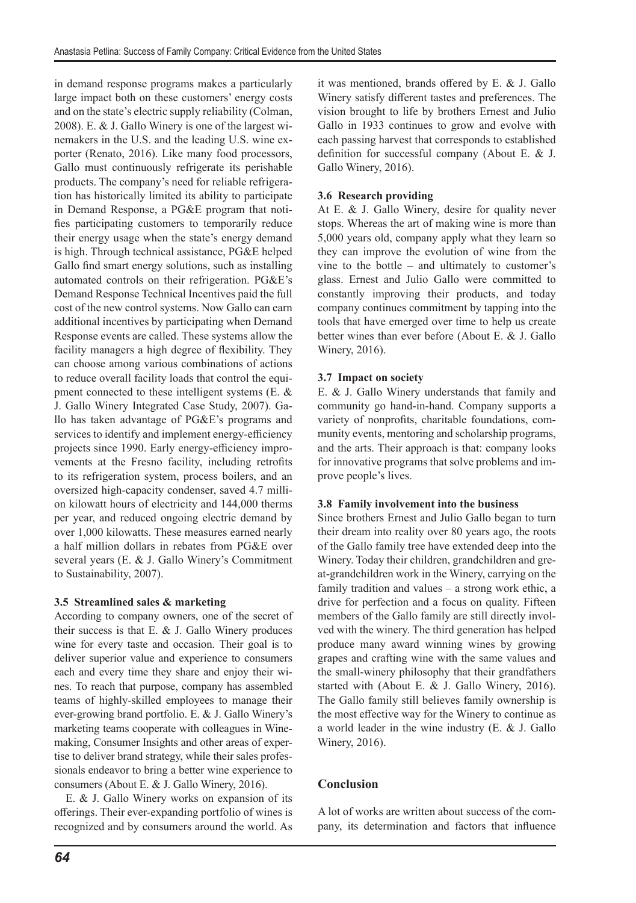in demand response programs makes a particularly large impact both on these customers' energy costs and on the state's electric supply reliability (Colman, 2008). E. & J. Gallo Winery is one of the largest winemakers in the U.S. and the leading U.S. wine exporter (Renato, 2016). Like many food processors, Gallo must continuously refrigerate its perishable products. The company's need for reliable refrigeration has historically limited its ability to participate in Demand Response, a PG&E program that notifies participating customers to temporarily reduce their energy usage when the state's energy demand is high. Through technical assistance, PG&E helped Gallo find smart energy solutions, such as installing automated controls on their refrigeration. PG&E's Demand Response Technical Incentives paid the full cost of the new control systems. Now Gallo can earn additional incentives by participating when Demand Response events are called. These systems allow the facility managers a high degree of flexibility. They can choose among various combinations of actions to reduce overall facility loads that control the equipment connected to these intelligent systems (E. & J. Gallo Winery Integrated Case Study, 2007). Gallo has taken advantage of PG&E's programs and services to identify and implement energy-efficiency projects since 1990. Early energy-efficiency improvements at the Fresno facility, including retrofits to its refrigeration system, process boilers, and an oversized high-capacity condenser, saved 4.7 million kilowatt hours of electricity and 144,000 therms per year, and reduced ongoing electric demand by over 1,000 kilowatts. These measures earned nearly a half million dollars in rebates from PG&E over several years (E. & J. Gallo Winery's Commitment to Sustainability, 2007).

#### **3.5 Streamlined sales & marketing**

According to company owners, one of the secret of their success is that E.  $&$  J. Gallo Winery produces wine for every taste and occasion. Their goal is to deliver superior value and experience to consumers each and every time they share and enjoy their wines. To reach that purpose, company has assembled teams of highly-skilled employees to manage their ever-growing brand portfolio. E. & J. Gallo Winery's marketing teams cooperate with colleagues in Winemaking, Consumer Insights and other areas of expertise to deliver brand strategy, while their sales professionals endeavor to bring a better wine experience to consumers (About E. & J. Gallo Winery, 2016).

E. & J. Gallo Winery works on expansion of its offerings. Their ever-expanding portfolio of wines is recognized and by consumers around the world. As it was mentioned, brands offered by E. & J. Gallo Winery satisfy different tastes and preferences. The vision brought to life by brothers Ernest and Julio Gallo in 1933 continues to grow and evolve with each passing harvest that corresponds to established definition for successful company (About E. & J. Gallo Winery, 2016).

## **3.6 Research providing**

At E. & J. Gallo Winery, desire for quality never stops. Whereas the art of making wine is more than 5,000 years old, company apply what they learn so they can improve the evolution of wine from the vine to the bottle – and ultimately to customer's glass. Ernest and Julio Gallo were committed to constantly improving their products, and today company continues commitment by tapping into the tools that have emerged over time to help us create better wines than ever before (About E. & J. Gallo Winery, 2016).

#### **3.7 Impact on society**

E. & J. Gallo Winery understands that family and community go hand-in-hand. Company supports a variety of nonprofits, charitable foundations, community events, mentoring and scholarship programs, and the arts. Their approach is that: company looks for innovative programs that solve problems and improve people's lives.

#### **3.8 Family involvement into the business**

Since brothers Ernest and Julio Gallo began to turn their dream into reality over 80 years ago, the roots of the Gallo family tree have extended deep into the Winery. Today their children, grandchildren and great-grandchildren work in the Winery, carrying on the family tradition and values – a strong work ethic, a drive for perfection and a focus on quality. Fifteen members of the Gallo family are still directly involved with the winery. The third generation has helped produce many award winning wines by growing grapes and crafting wine with the same values and the small-winery philosophy that their grandfathers started with (About E. & J. Gallo Winery, 2016). The Gallo family still believes family ownership is the most effective way for the Winery to continue as a world leader in the wine industry (E. & J. Gallo Winery, 2016).

## **Conclusion**

A lot of works are written about success of the company, its determination and factors that influence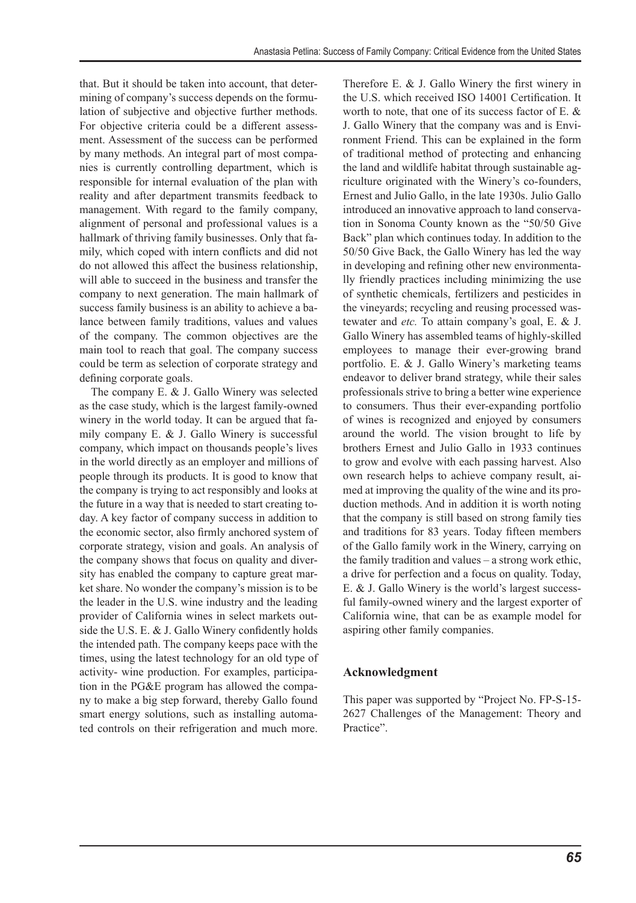that. But it should be taken into account, that determining of company's success depends on the formulation of subjective and objective further methods. For objective criteria could be a different assessment. Assessment of the success can be performed by many methods. An integral part of most companies is currently controlling department, which is responsible for internal evaluation of the plan with reality and after department transmits feedback to management. With regard to the family company, alignment of personal and professional values is a hallmark of thriving family businesses. Only that family, which coped with intern conflicts and did not do not allowed this affect the business relationship, will able to succeed in the business and transfer the company to next generation. The main hallmark of success family business is an ability to achieve a balance between family traditions, values and values of the company. The common objectives are the main tool to reach that goal. The company success could be term as selection of corporate strategy and defining corporate goals.

The company E. & J. Gallo Winery was selected as the case study, which is the largest family-owned winery in the world today. It can be argued that family company E. & J. Gallo Winery is successful company, which impact on thousands people's lives in the world directly as an employer and millions of people through its products. It is good to know that the company is trying to act responsibly and looks at the future in a way that is needed to start creating today. A key factor of company success in addition to the economic sector, also firmly anchored system of corporate strategy, vision and goals. An analysis of the company shows that focus on quality and diversity has enabled the company to capture great market share. No wonder the company's mission is to be the leader in the U.S. wine industry and the leading provider of California wines in select markets outside the U.S. E. & J. Gallo Winery confidently holds the intended path. The company keeps pace with the times, using the latest technology for an old type of activity- wine production. For examples, participation in the PG&E program has allowed the company to make a big step forward, thereby Gallo found smart energy solutions, such as installing automated controls on their refrigeration and much more. Therefore E. & J. Gallo Winery the first winery in the U.S. which received ISO 14001 Certification. It worth to note, that one of its success factor of E. & J. Gallo Winery that the company was and is Environment Friend. This can be explained in the form of traditional method of protecting and enhancing the land and wildlife habitat through sustainable agriculture originated with the Winery's co-founders, Ernest and Julio Gallo, in the late 1930s. Julio Gallo introduced an innovative approach to land conservation in Sonoma County known as the "50/50 Give Back" plan which continues today. In addition to the 50/50 Give Back, the Gallo Winery has led the way in developing and refining other new environmentally friendly practices including minimizing the use of synthetic chemicals, fertilizers and pesticides in the vineyards; recycling and reusing processed wastewater and *etc.* To attain company's goal, E. & J. Gallo Winery has assembled teams of highly-skilled employees to manage their ever-growing brand portfolio. E. & J. Gallo Winery's marketing teams endeavor to deliver brand strategy, while their sales professionals strive to bring a better wine experience to consumers. Thus their ever-expanding portfolio of wines is recognized and enjoyed by consumers around the world. The vision brought to life by brothers Ernest and Julio Gallo in 1933 continues to grow and evolve with each passing harvest. Also own research helps to achieve company result, aimed at improving the quality of the wine and its production methods. And in addition it is worth noting that the company is still based on strong family ties and traditions for 83 years. Today fifteen members of the Gallo family work in the Winery, carrying on the family tradition and values – a strong work ethic, a drive for perfection and a focus on quality. Today, E. & J. Gallo Winery is the world's largest successful family-owned winery and the largest exporter of California wine, that can be as example model for aspiring other family companies.

#### **Acknowledgment**

This paper was supported by "Project No. FP-S-15- 2627 Challenges of the Management: Theory and Practice".